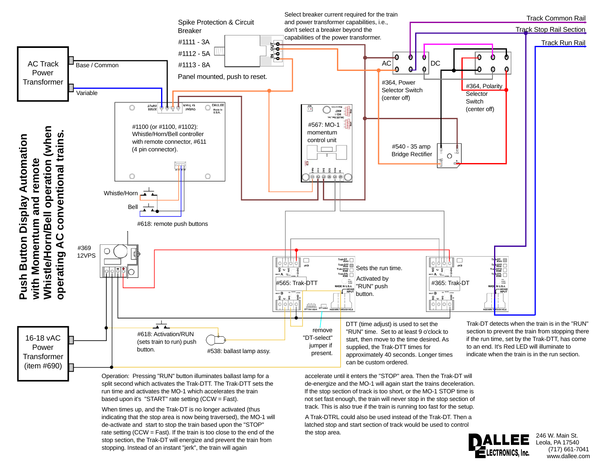

Operation: Pressing "RUN" button illuminates ballast lamp for a split second which activates the Trak-DTT. The Trak-DTT sets the run time and activates the MO-1 which accelerates the train based upon it's "START" rate setting (CCW = Fast).

When times up, and the Trak-DT is no longer activated (thus indicating that the stop area is now being traversed), the MO-1 will de-activate and start to stop the train based upon the "STOP" rate setting (CCW = Fast). If the train is too close to the end of the stop section, the Trak-DT will energize and prevent the train from stopping. Instead of an instant "jerk", the train will again

accelerate until it enters the "STOP" area. Then the Trak-DT will de-energize and the MO-1 will again start the trains deceleration. If the stop section of track is too short, or the MO-1 STOP time is not set fast enough, the train will never stop in the stop section of track. This is also true if the train is running too fast for the setup.

A Trak-DTRL could also be used instead of the Trak-DT. Then a latched stop and start section of track would be used to control the stop area.



246 W. Main St. Leola, PA 17540 (717) 661-7041 www.dallee.com